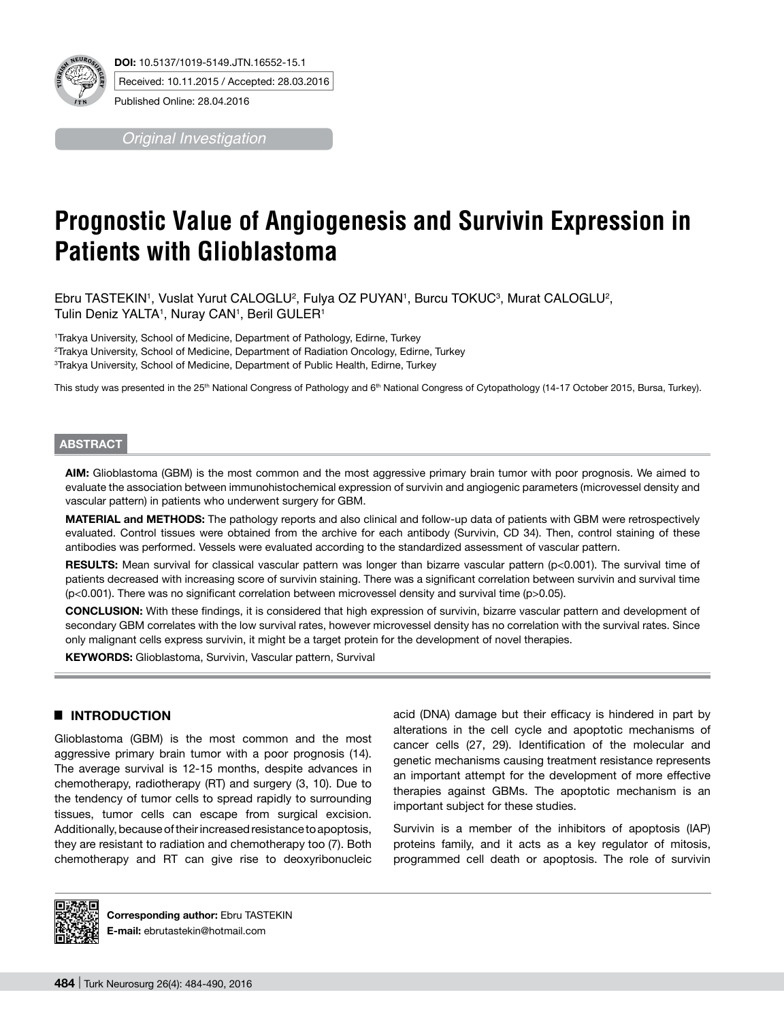

*Original Investigation*

# **Prognostic Value of Angiogenesis and Survivin Expression in Patients with Glioblastoma**

Ebru TASTEKIN', Vuslat Yurut CALOGLU², Fulya OZ PUYAN', Burcu TOKUC<sup>3</sup>, Murat CALOGLU², Tulin Deniz YALTA1 , Nuray CAN1 , Beril GULER1

1 Trakya University, School of Medicine, Department of Pathology, Edirne, Turkey 2 Trakya University, School of Medicine, Department of Radiation Oncology, Edirne, Turkey 3 Trakya University, School of Medicine, Department of Public Health, Edirne, Turkey

This study was presented in the 25<sup>th</sup> National Congress of Pathology and 6<sup>th</sup> National Congress of Cytopathology (14-17 October 2015, Bursa, Turkey).

# **ABSTRACT**

**AIm:** Glioblastoma (GBM) is the most common and the most aggressive primary brain tumor with poor prognosis. We aimed to evaluate the association between immunohistochemical expression of survivin and angiogenic parameters (microvessel density and vascular pattern) in patients who underwent surgery for GBM.

**MaterIal and Methods:** The pathology reports and also clinical and follow-up data of patients with GBM were retrospectively evaluated. Control tissues were obtained from the archive for each antibody (Survivin, CD 34). Then, control staining of these antibodies was performed. Vessels were evaluated according to the standardized assessment of vascular pattern.

RESULTS: Mean survival for classical vascular pattern was longer than bizarre vascular pattern (p<0.001). The survival time of patients decreased with increasing score of survivin staining. There was a significant correlation between survivin and survival time (p<0.001). There was no significant correlation between microvessel density and survival time (p>0.05).

**ConclusIon:** With these findings, it is considered that high expression of survivin, bizarre vascular pattern and development of secondary GBM correlates with the low survival rates, however microvessel density has no correlation with the survival rates. Since only malignant cells express survivin, it might be a target protein for the development of novel therapies.

**Keywords:** Glioblastoma, Survivin, Vascular pattern, Survival

# █ **INTRODUCTION**

Glioblastoma (GBM) is the most common and the most aggressive primary brain tumor with a poor prognosis (14). The average survival is 12-15 months, despite advances in chemotherapy, radiotherapy (RT) and surgery (3, 10). Due to the tendency of tumor cells to spread rapidly to surrounding tissues, tumor cells can escape from surgical excision. Additionally, because of their increased resistance to apoptosis, they are resistant to radiation and chemotherapy too (7). Both chemotherapy and RT can give rise to deoxyribonucleic

acid (DNA) damage but their efficacy is hindered in part by alterations in the cell cycle and apoptotic mechanisms of cancer cells (27, 29). Identification of the molecular and genetic mechanisms causing treatment resistance represents an important attempt for the development of more effective therapies against GBMs. The apoptotic mechanism is an important subject for these studies.

Survivin is a member of the inhibitors of apoptosis (IAP) proteins family, and it acts as a key regulator of mitosis, programmed cell death or apoptosis. The role of survivin



**Corresponding author:** Ebru TASTEKIN **E-mail:** ebrutastekin@hotmail.com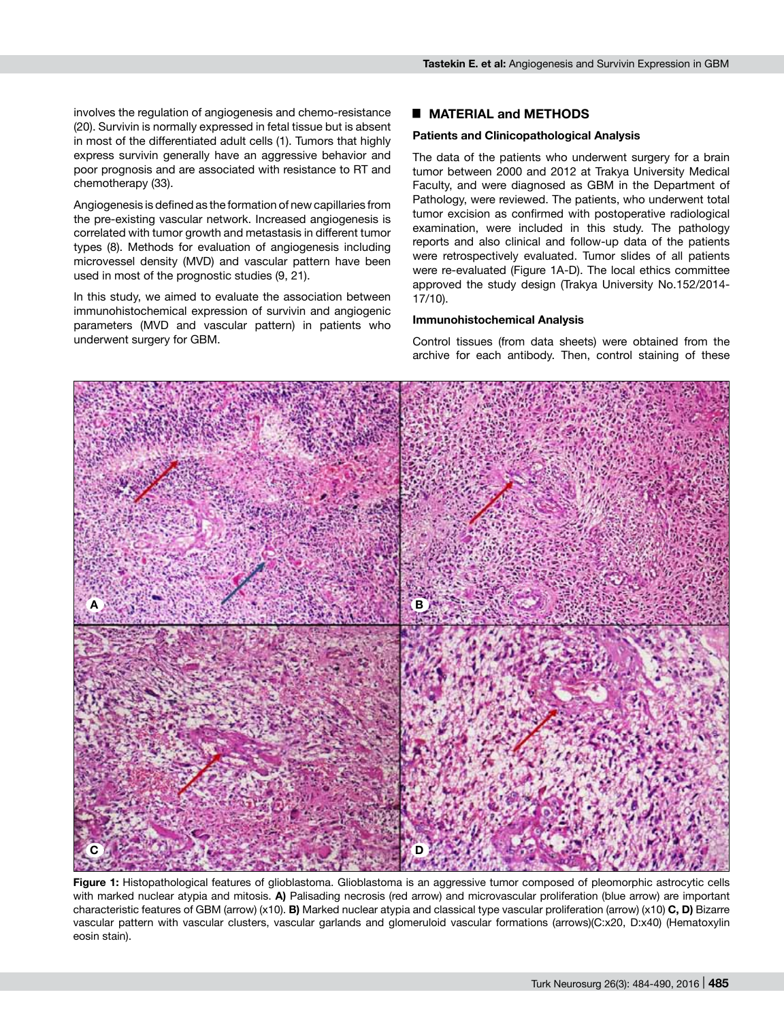involves the regulation of angiogenesis and chemo-resistance (20). Survivin is normally expressed in fetal tissue but is absent in most of the differentiated adult cells (1). Tumors that highly express survivin generally have an aggressive behavior and poor prognosis and are associated with resistance to RT and chemotherapy (33).

Angiogenesis is defined as the formation of new capillaries from the pre-existing vascular network. Increased angiogenesis is correlated with tumor growth and metastasis in different tumor types (8). Methods for evaluation of angiogenesis including microvessel density (MVD) and vascular pattern have been used in most of the prognostic studies (9, 21).

In this study, we aimed to evaluate the association between immunohistochemical expression of survivin and angiogenic parameters (MVD and vascular pattern) in patients who underwent surgery for GBM.

### █ **MATERIAL and METHODS**

#### **Patients and Clinicopathological Analysis**

The data of the patients who underwent surgery for a brain tumor between 2000 and 2012 at Trakya University Medical Faculty, and were diagnosed as GBM in the Department of Pathology, were reviewed. The patients, who underwent total tumor excision as confirmed with postoperative radiological examination, were included in this study. The pathology reports and also clinical and follow-up data of the patients were retrospectively evaluated. Tumor slides of all patients were re-evaluated (Figure 1A-D). The local ethics committee approved the study design (Trakya University No.152/2014- 17/10).

#### **Immunohistochemical Analysis**

Control tissues (from data sheets) were obtained from the archive for each antibody. Then, control staining of these



**Figure 1:** Histopathological features of glioblastoma. Glioblastoma is an aggressive tumor composed of pleomorphic astrocytic cells with marked nuclear atypia and mitosis. **A)** Palisading necrosis (red arrow) and microvascular proliferation (blue arrow) are important characteristic features of GBM (arrow) (x10). **B)** Marked nuclear atypia and classical type vascular proliferation (arrow) (x10) **C, D)** Bizarre vascular pattern with vascular clusters, vascular garlands and glomeruloid vascular formations (arrows)(C:x20, D:x40) (Hematoxylin eosin stain).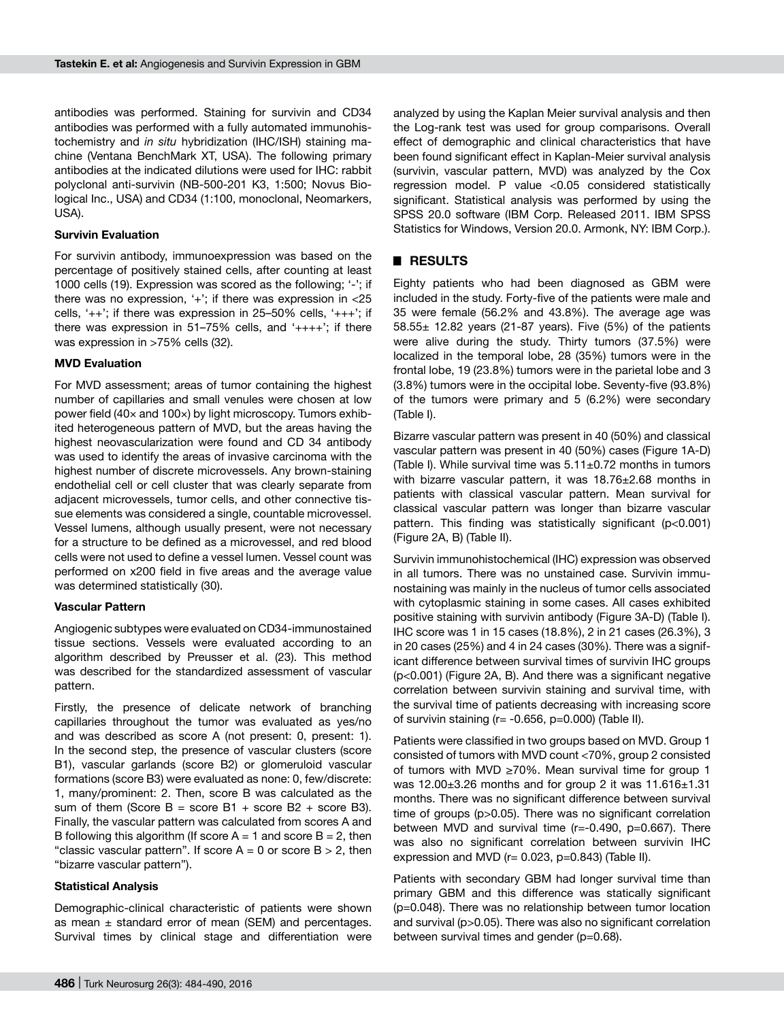antibodies was performed. Staining for survivin and CD34 antibodies was performed with a fully automated immunohistochemistry and *in situ* hybridization (IHC/ISH) staining machine (Ventana BenchMark XT, USA). The following primary antibodies at the indicated dilutions were used for IHC: rabbit polyclonal anti-survivin (NB-500-201 K3, 1:500; Novus Biological Inc., USA) and CD34 (1:100, monoclonal, Neomarkers, USA).

#### **Survivin Evaluation**

For survivin antibody, immunoexpression was based on the percentage of positively stained cells, after counting at least 1000 cells (19). Expression was scored as the following; '-'; if there was no expression,  $+$ ; if there was expression in  $<$ 25 cells, ' $++$ '; if there was expression in 25-50% cells, ' $++$ '; if there was expression in  $51-75%$  cells, and ' $+++$ '; if there was expression in >75% cells (32).

#### **MVD Evaluation**

For MVD assessment; areas of tumor containing the highest number of capillaries and small venules were chosen at low power field (40× and 100×) by light microscopy. Tumors exhibited heterogeneous pattern of MVD, but the areas having the highest neovascularization were found and CD 34 antibody was used to identify the areas of invasive carcinoma with the highest number of discrete microvessels. Any brown-staining endothelial cell or cell cluster that was clearly separate from adjacent microvessels, tumor cells, and other connective tissue elements was considered a single, countable microvessel. Vessel lumens, although usually present, were not necessary for a structure to be defined as a microvessel, and red blood cells were not used to define a vessel lumen. Vessel count was performed on x200 field in five areas and the average value was determined statistically (30).

#### **Vascular Pattern**

Angiogenic subtypes were evaluated on CD34-immunostained tissue sections. Vessels were evaluated according to an algorithm described by Preusser et al. (23). This method was described for the standardized assessment of vascular pattern.

Firstly, the presence of delicate network of branching capillaries throughout the tumor was evaluated as yes/no and was described as score A (not present: 0, present: 1). In the second step, the presence of vascular clusters (score B1), vascular garlands (score B2) or glomeruloid vascular formations (score B3) were evaluated as none: 0, few/discrete: 1, many/prominent: 2. Then, score B was calculated as the sum of them (Score  $B =$  score  $B1 +$  score  $B2 +$  score  $B3$ ). Finally, the vascular pattern was calculated from scores A and B following this algorithm (If score  $A = 1$  and score  $B = 2$ , then "classic vascular pattern". If score  $A = 0$  or score  $B > 2$ , then "bizarre vascular pattern").

#### **Statistical Analysis**

Demographic-clinical characteristic of patients were shown as mean  $\pm$  standard error of mean (SEM) and percentages. Survival times by clinical stage and differentiation were

analyzed by using the Kaplan Meier survival analysis and then the Log-rank test was used for group comparisons. Overall effect of demographic and clinical characteristics that have been found significant effect in Kaplan-Meier survival analysis (survivin, vascular pattern, MVD) was analyzed by the Cox regression model. P value <0.05 considered statistically significant. Statistical analysis was performed by using the SPSS 20.0 software (IBM Corp. Released 2011. IBM SPSS Statistics for Windows, Version 20.0. Armonk, NY: IBM Corp.).

## █ **RESULTS**

Eighty patients who had been diagnosed as GBM were included in the study. Forty-five of the patients were male and 35 were female (56.2% and 43.8%). The average age was  $58.55\pm$  12.82 years (21-87 years). Five (5%) of the patients were alive during the study. Thirty tumors (37.5%) were localized in the temporal lobe, 28 (35%) tumors were in the frontal lobe, 19 (23.8%) tumors were in the parietal lobe and 3 (3.8%) tumors were in the occipital lobe. Seventy-five (93.8%) of the tumors were primary and 5 (6.2%) were secondary (Table I).

Bizarre vascular pattern was present in 40 (50%) and classical vascular pattern was present in 40 (50%) cases (Figure 1A-D) (Table I). While survival time was  $5.11 \pm 0.72$  months in tumors with bizarre vascular pattern, it was 18.76±2.68 months in patients with classical vascular pattern. Mean survival for classical vascular pattern was longer than bizarre vascular pattern. This finding was statistically significant (p<0.001) (Figure 2A, B) (Table II).

Survivin immunohistochemical (IHC) expression was observed in all tumors. There was no unstained case. Survivin immunostaining was mainly in the nucleus of tumor cells associated with cytoplasmic staining in some cases. All cases exhibited positive staining with survivin antibody (Figure 3A-D) (Table I). IHC score was 1 in 15 cases (18.8%), 2 in 21 cases (26.3%), 3 in 20 cases (25%) and 4 in 24 cases (30%). There was a significant difference between survival times of survivin IHC groups (p<0.001) (Figure 2A, B). And there was a significant negative correlation between survivin staining and survival time, with the survival time of patients decreasing with increasing score of survivin staining  $(r = -0.656, p=0.000)$  (Table II).

Patients were classified in two groups based on MVD. Group 1 consisted of tumors with MVD count <70%, group 2 consisted of tumors with MVD ≥70%. Mean survival time for group 1 was 12.00 $\pm$ 3.26 months and for group 2 it was 11.616 $\pm$ 1.31 months. There was no significant difference between survival time of groups (p>0.05). There was no significant correlation between MVD and survival time (r=-0.490, p=0.667). There was also no significant correlation between survivin IHC expression and MVD ( $r= 0.023$ ,  $p=0.843$ ) (Table II).

Patients with secondary GBM had longer survival time than primary GBM and this difference was statically significant (p=0.048). There was no relationship between tumor location and survival (p>0.05). There was also no significant correlation between survival times and gender (p=0.68).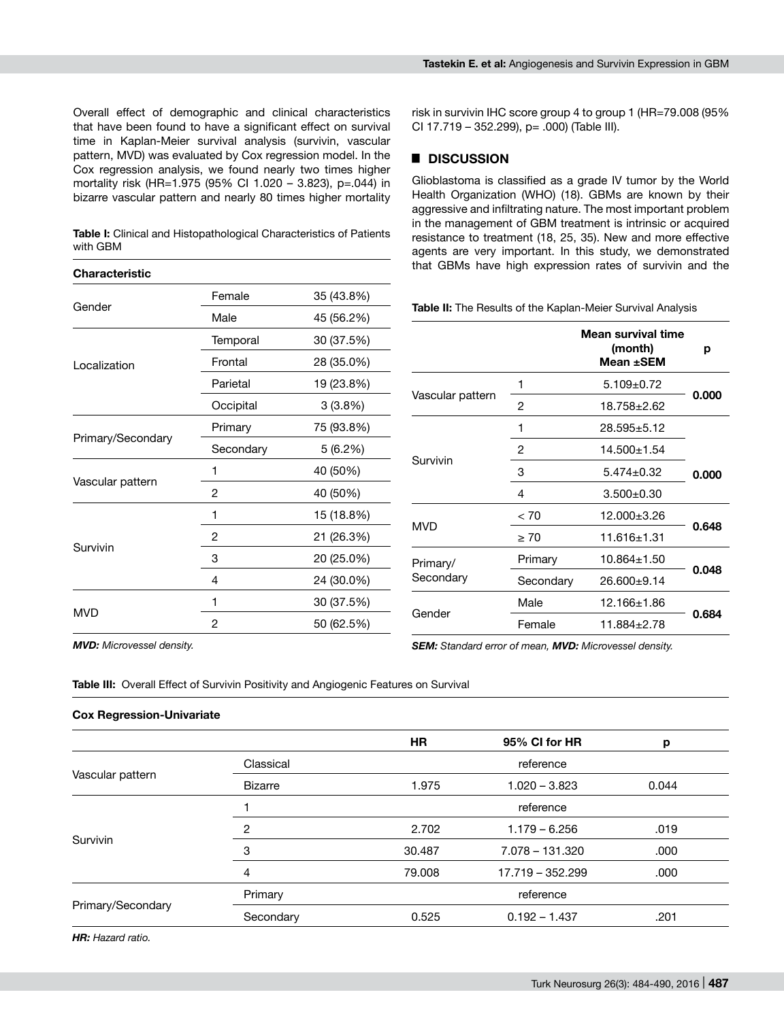**Table I:** Clinical and Histopathological Characteristics of Patients with GBM

# **Characteristic** Gender Female 35 (43.8%) Male 45 (56.2%) Localization Temporal 30 (37.5%) Frontal 28 (35.0%) Parietal 19 (23.8%) Occipital 3 (3.8%) Primary/Secondary Primary 75 (93.8%) Secondary 5 (6.2%) Vascular pattern 1 40 (50%) 2 40 (50%) Survivin 1 15 (18.8%) 2 21 (26.3%) 3 20 (25.0%) 4 24 (30.0%) MVD 1 30 (37.5%) 2 50 (62.5%)

risk in survivin IHC score group 4 to group 1 (HR=79.008 (95% CI 17.719 – 352.299), p= .000) (Table III).

# █ **DISCUSSION**

Glioblastoma is classified as a grade IV tumor by the World Health Organization (WHO) (18). GBMs are known by their aggressive and infiltrating nature. The most important problem in the management of GBM treatment is intrinsic or acquired resistance to treatment (18, 25, 35). New and more effective agents are very important. In this study, we demonstrated that GBMs have high expression rates of survivin and the

|                       |           | Mean survival time<br>(month)<br>Mean ±SEM | р     |  |
|-----------------------|-----------|--------------------------------------------|-------|--|
| Vascular pattern      | 1         | $5.109 \pm 0.72$                           | 0.000 |  |
|                       | 2         | 18.758±2.62                                |       |  |
| Survivin              | 1         | 28.595±5.12                                |       |  |
|                       | 2         | $14.500 \pm 1.54$                          |       |  |
|                       | 3         | $5.474 \pm 0.32$                           | 0.000 |  |
|                       | 4         | $3.500 + 0.30$                             |       |  |
| <b>MVD</b>            | < 70      | 12.000±3.26                                |       |  |
|                       | $\geq 70$ | $11.616 \pm 1.31$                          | 0.648 |  |
| Primary/<br>Secondary | Primary   | $10.864 \pm 1.50$                          |       |  |
|                       | Secondary | 26.600±9.14                                | 0.048 |  |
| Gender                | Male      | 12.166±1.86                                |       |  |
|                       | Female    | $11.884 \pm 2.78$                          | 0.684 |  |

*MVD: Microvessel density.*

*SEM: Standard error of mean, MVD: Microvessel density.*

**Table III:** Overall Effect of Survivin Positivity and Angiogenic Features on Survival

# **Cox Regression-Univariate**

|                   |                | <b>HR</b> | 95% CI for HR    | p     |
|-------------------|----------------|-----------|------------------|-------|
| Vascular pattern  | Classical      |           | reference        |       |
|                   | <b>Bizarre</b> | 1.975     | $1.020 - 3.823$  | 0.044 |
| Survivin          |                |           | reference        |       |
|                   | 2              | 2.702     | $1.179 - 6.256$  | .019  |
|                   | 3              | 30.487    | 7.078 - 131.320  | .000  |
|                   | $\overline{4}$ | 79.008    | 17.719 - 352.299 | .000  |
| Primary/Secondary | Primary        |           | reference        |       |
|                   | Secondary      | 0.525     | $0.192 - 1.437$  | .201  |
|                   |                |           |                  |       |

*HR: Hazard ratio.*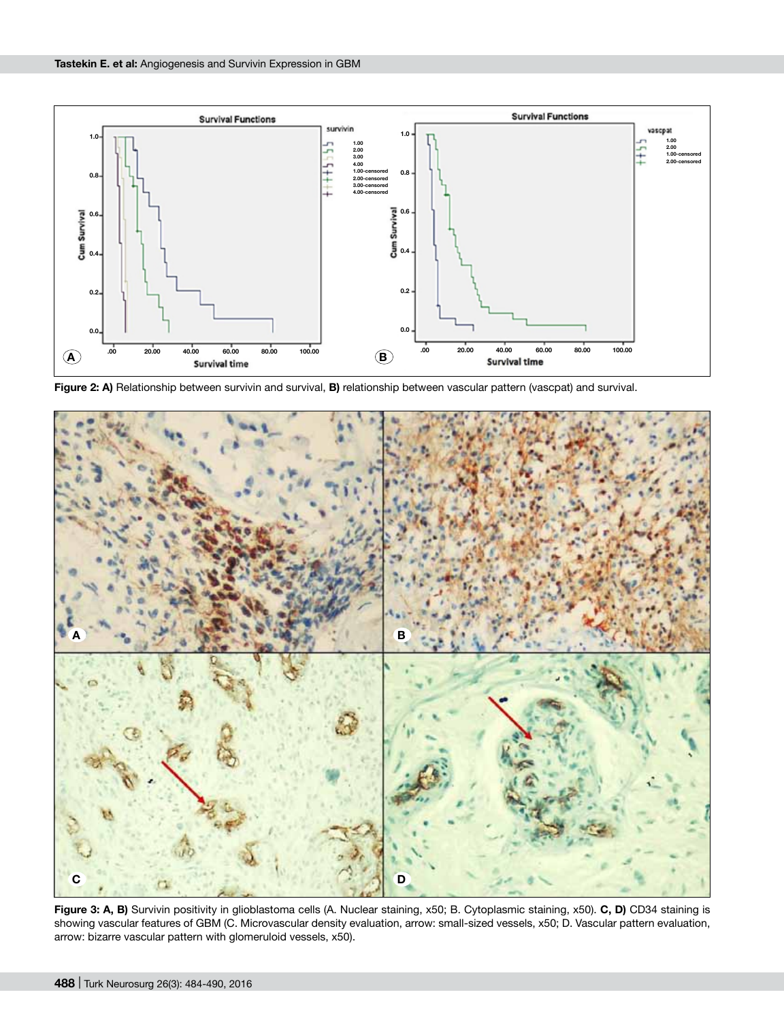

**Figure 2: A)** Relationship between survivin and survival, **B)** relationship between vascular pattern (vascpat) and survival.



**Figure 3: A, B)** Survivin positivity in glioblastoma cells (A. Nuclear staining, x50; B. Cytoplasmic staining, x50). **C, D)** CD34 staining is showing vascular features of GBM (C. Microvascular density evaluation, arrow: small-sized vessels, x50; D. Vascular pattern evaluation, arrow: bizarre vascular pattern with glomeruloid vessels, x50).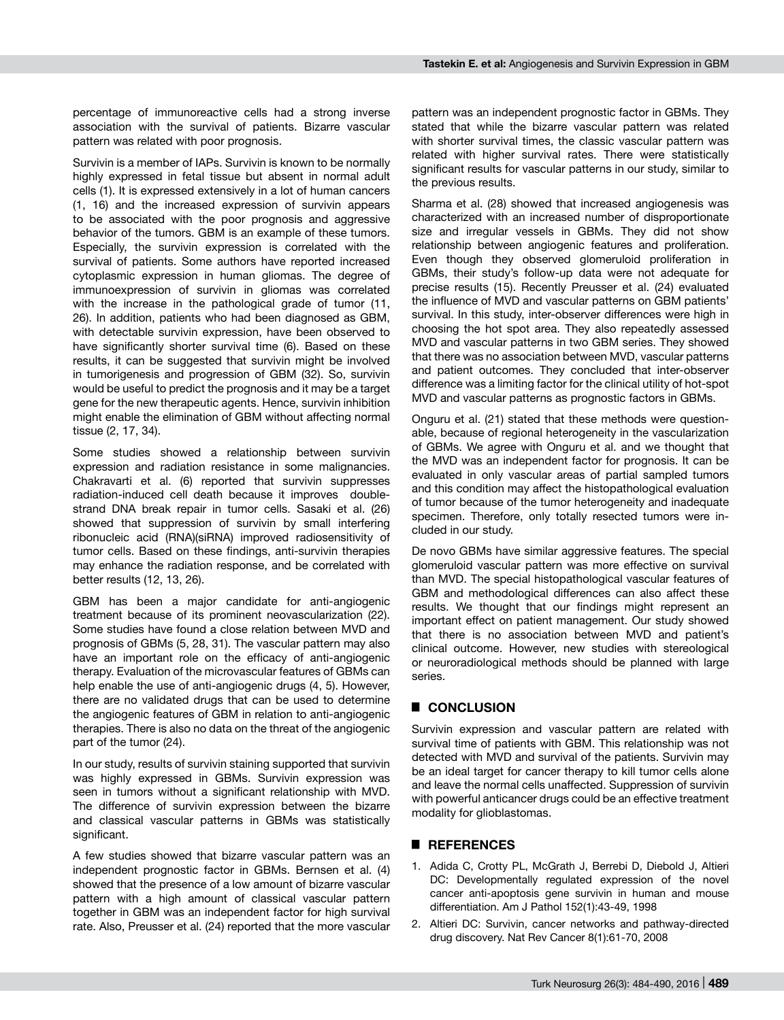percentage of immunoreactive cells had a strong inverse association with the survival of patients. Bizarre vascular pattern was related with poor prognosis.

Survivin is a member of IAPs. Survivin is known to be normally highly expressed in fetal tissue but absent in normal adult cells (1). It is expressed extensively in a lot of human cancers (1, 16) and the increased expression of survivin appears to be associated with the poor prognosis and aggressive behavior of the tumors. GBM is an example of these tumors. Especially, the survivin expression is correlated with the survival of patients. Some authors have reported increased cytoplasmic expression in human gliomas. The degree of immunoexpression of survivin in gliomas was correlated with the increase in the pathological grade of tumor (11, 26). In addition, patients who had been diagnosed as GBM, with detectable survivin expression, have been observed to have significantly shorter survival time (6). Based on these results, it can be suggested that survivin might be involved in tumorigenesis and progression of GBM (32). So, survivin would be useful to predict the prognosis and it may be a target gene for the new therapeutic agents. Hence, survivin inhibition might enable the elimination of GBM without affecting normal tissue (2, 17, 34).

Some studies showed a relationship between survivin expression and radiation resistance in some malignancies. Chakravarti et al. (6) reported that survivin suppresses radiation-induced cell death because it improves doublestrand DNA break repair in tumor cells. Sasaki et al. (26) showed that suppression of survivin by small interfering ribonucleic acid (RNA)(siRNA) improved radiosensitivity of tumor cells. Based on these findings, anti-survivin therapies may enhance the radiation response, and be correlated with better results (12, 13, 26).

GBM has been a major candidate for anti-angiogenic treatment because of its prominent neovascularization (22). Some studies have found a close relation between MVD and prognosis of GBMs (5, 28, 31). The vascular pattern may also have an important role on the efficacy of anti-angiogenic therapy. Evaluation of the microvascular features of GBMs can help enable the use of anti-angiogenic drugs (4, 5). However, there are no validated drugs that can be used to determine the angiogenic features of GBM in relation to anti-angiogenic therapies. There is also no data on the threat of the angiogenic part of the tumor (24).

In our study, results of survivin staining supported that survivin was highly expressed in GBMs. Survivin expression was seen in tumors without a significant relationship with MVD. The difference of survivin expression between the bizarre and classical vascular patterns in GBMs was statistically significant.

A few studies showed that bizarre vascular pattern was an independent prognostic factor in GBMs. Bernsen et al. (4) showed that the presence of a low amount of bizarre vascular pattern with a high amount of classical vascular pattern together in GBM was an independent factor for high survival rate. Also, Preusser et al. (24) reported that the more vascular

pattern was an independent prognostic factor in GBMs. They stated that while the bizarre vascular pattern was related with shorter survival times, the classic vascular pattern was related with higher survival rates. There were statistically significant results for vascular patterns in our study, similar to the previous results.

Sharma et al. (28) showed that increased angiogenesis was characterized with an increased number of disproportionate size and irregular vessels in GBMs. They did not show relationship between angiogenic features and proliferation. Even though they observed glomeruloid proliferation in GBMs, their study's follow-up data were not adequate for precise results (15). Recently Preusser et al. (24) evaluated the influence of MVD and vascular patterns on GBM patients' survival. In this study, inter-observer differences were high in choosing the hot spot area. They also repeatedly assessed MVD and vascular patterns in two GBM series. They showed that there was no association between MVD, vascular patterns and patient outcomes. They concluded that inter-observer difference was a limiting factor for the clinical utility of hot-spot MVD and vascular patterns as prognostic factors in GBMs.

Onguru et al. (21) stated that these methods were questionable, because of regional heterogeneity in the vascularization of GBMs. We agree with Onguru et al. and we thought that the MVD was an independent factor for prognosis. It can be evaluated in only vascular areas of partial sampled tumors and this condition may affect the histopathological evaluation of tumor because of the tumor heterogeneity and inadequate specimen. Therefore, only totally resected tumors were included in our study.

De novo GBMs have similar aggressive features. The special glomeruloid vascular pattern was more effective on survival than MVD. The special histopathological vascular features of GBM and methodological differences can also affect these results. We thought that our findings might represent an important effect on patient management. Our study showed that there is no association between MVD and patient's clinical outcome. However, new studies with stereological or neuroradiological methods should be planned with large series.

# █ **CONCLUSION**

Survivin expression and vascular pattern are related with survival time of patients with GBM. This relationship was not detected with MVD and survival of the patients. Survivin may be an ideal target for cancer therapy to kill tumor cells alone and leave the normal cells unaffected. Suppression of survivin with powerful anticancer drugs could be an effective treatment modality for glioblastomas.

# █ **REFERENCES**

- 1. Adida C, Crotty PL, McGrath J, Berrebi D, Diebold J, Altieri DC: Developmentally regulated expression of the novel cancer anti-apoptosis gene survivin in human and mouse differentiation. Am J Pathol 152(1):43-49, 1998
- 2. Altieri DC: Survivin, cancer networks and pathway-directed drug discovery. Nat Rev Cancer 8(1):61-70, 2008